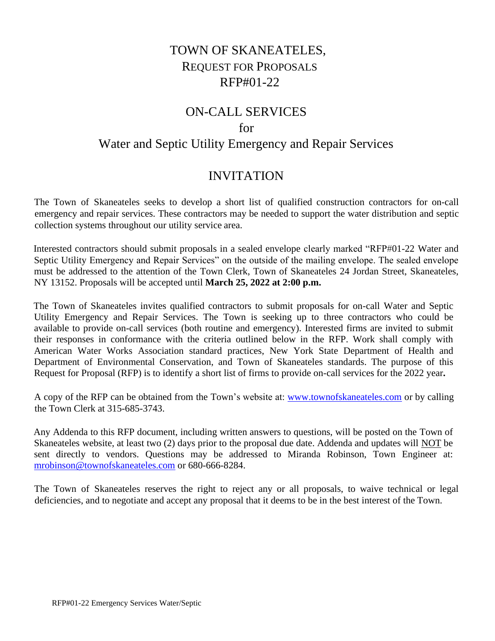# TOWN OF SKANEATELES, REQUEST FOR PROPOSALS RFP#01-22

## ON-CALL SERVICES

### for

## Water and Septic Utility Emergency and Repair Services

## INVITATION

The Town of Skaneateles seeks to develop a short list of qualified construction contractors for on-call emergency and repair services. These contractors may be needed to support the water distribution and septic collection systems throughout our utility service area.

Interested contractors should submit proposals in a sealed envelope clearly marked "RFP#01-22 Water and Septic Utility Emergency and Repair Services" on the outside of the mailing envelope. The sealed envelope must be addressed to the attention of the Town Clerk, Town of Skaneateles 24 Jordan Street, Skaneateles, NY 13152. Proposals will be accepted until **March 25, 2022 at 2:00 p.m.**

The Town of Skaneateles invites qualified contractors to submit proposals for on-call Water and Septic Utility Emergency and Repair Services. The Town is seeking up to three contractors who could be available to provide on-call services (both routine and emergency). Interested firms are invited to submit their responses in conformance with the criteria outlined below in the RFP. Work shall comply with American Water Works Association standard practices, New York State Department of Health and Department of Environmental Conservation, and Town of Skaneateles standards. The purpose of this Request for Proposal (RFP) is to identify a short list of firms to provide on-call services for the 2022 year**.**

A copy of the RFP can be obtained from the Town's website at: [www.townofskaneateles.com](http://www.townofskaneateles.com/) or by calling the Town Clerk at 315-685-3743.

Any Addenda to this RFP document, including written answers to questions, will be posted on the Town of Skaneateles website, at least two (2) days prior to the proposal due date. Addenda and updates will NOT be sent directly to vendors. Questions may be addressed to Miranda Robinson, Town Engineer at: [mrobinson@townofskaneateles.com](mailto:mrobinson@townofskaneateles.com) or 680-666-8284.

The Town of Skaneateles reserves the right to reject any or all proposals, to waive technical or legal deficiencies, and to negotiate and accept any proposal that it deems to be in the best interest of the Town.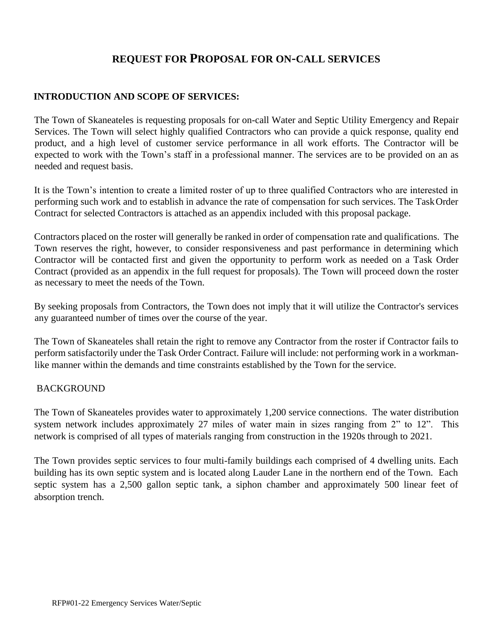## **REQUEST FOR PROPOSAL FOR ON-CALL SERVICES**

### **INTRODUCTION AND SCOPE OF SERVICES:**

The Town of Skaneateles is requesting proposals for on-call Water and Septic Utility Emergency and Repair Services. The Town will select highly qualified Contractors who can provide a quick response, quality end product, and a high level of customer service performance in all work efforts. The Contractor will be expected to work with the Town's staff in a professional manner. The services are to be provided on an as needed and request basis.

It is the Town's intention to create a limited roster of up to three qualified Contractors who are interested in performing such work and to establish in advance the rate of compensation for such services. The TaskOrder Contract for selected Contractors is attached as an appendix included with this proposal package.

Contractors placed on the roster will generally be ranked in order of compensation rate and qualifications. The Town reserves the right, however, to consider responsiveness and past performance in determining which Contractor will be contacted first and given the opportunity to perform work as needed on a Task Order Contract (provided as an appendix in the full request for proposals). The Town will proceed down the roster as necessary to meet the needs of the Town.

By seeking proposals from Contractors, the Town does not imply that it will utilize the Contractor's services any guaranteed number of times over the course of the year.

The Town of Skaneateles shall retain the right to remove any Contractor from the roster if Contractor fails to perform satisfactorily under the Task Order Contract. Failure will include: not performing work in a workmanlike manner within the demands and time constraints established by the Town for the service.

#### BACKGROUND

The Town of Skaneateles provides water to approximately 1,200 service connections. The water distribution system network includes approximately 27 miles of water main in sizes ranging from 2" to 12". This network is comprised of all types of materials ranging from construction in the 1920s through to 2021.

The Town provides septic services to four multi-family buildings each comprised of 4 dwelling units. Each building has its own septic system and is located along Lauder Lane in the northern end of the Town. Each septic system has a 2,500 gallon septic tank, a siphon chamber and approximately 500 linear feet of absorption trench.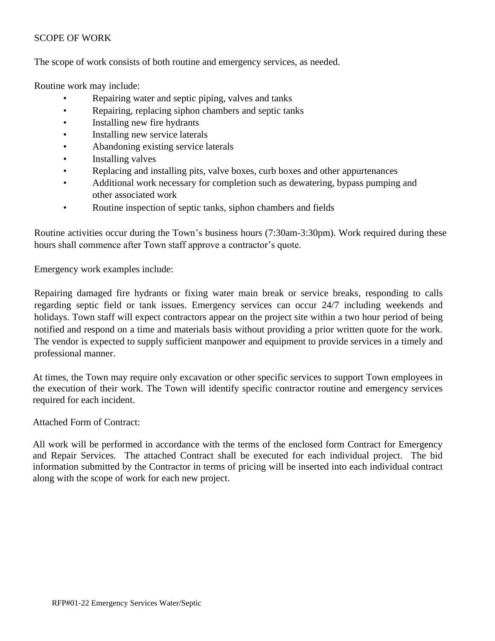### SCOPE OF WORK

The scope of work consists of both routine and emergency services, as needed.

Routine work may include:

- Repairing water and septic piping, valves and tanks
- Repairing, replacing siphon chambers and septic tanks
- Installing new fire hydrants
- Installing new service laterals
- Abandoning existing service laterals
- Installing valves
- Replacing and installing pits, valve boxes, curb boxes and other appurtenances
- Additional work necessary for completion such as dewatering, bypass pumping and other associated work
- Routine inspection of septic tanks, siphon chambers and fields

Routine activities occur during the Town's business hours (7:30am-3:30pm). Work required during these hours shall commence after Town staff approve a contractor's quote.

Emergency work examples include:

Repairing damaged fire hydrants or fixing water main break or service breaks, responding to calls regarding septic field or tank issues. Emergency services can occur 24/7 including weekends and holidays. Town staff will expect contractors appear on the project site within a two hour period of being notified and respond on a time and materials basis without providing a prior written quote for the work. The vendor is expected to supply sufficient manpower and equipment to provide services in a timely and professional manner.

At times, the Town may require only excavation or other specific services to support Town employees in the execution of their work. The Town will identify specific contractor routine and emergency services required for each incident.

Attached Form of Contract:

All work will be performed in accordance with the terms of the enclosed form Contract for Emergency and Repair Services. The attached Contract shall be executed for each individual project. The bid information submitted by the Contractor in terms of pricing will be inserted into each individual contract along with the scope of work for each new project.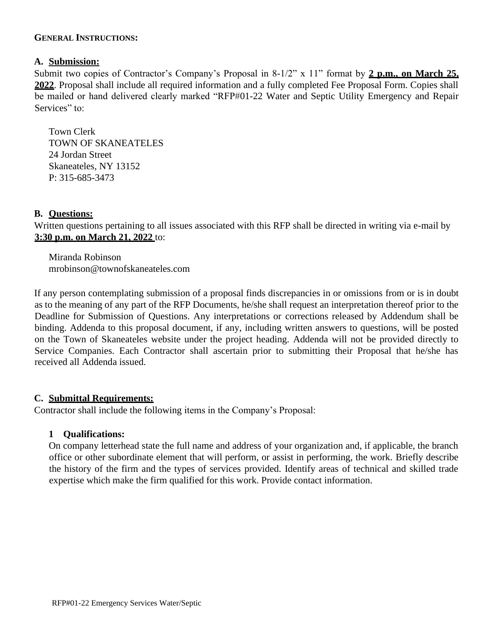#### **GENERAL INSTRUCTIONS:**

#### **A. Submission:**

Submit two copies of Contractor's Company's Proposal in 8-1/2" x 11" format by **2 p.m., on March 25, 2022**. Proposal shall include all required information and a fully completed Fee Proposal Form. Copies shall be mailed or hand delivered clearly marked "RFP#01-22 Water and Septic Utility Emergency and Repair Services" to:

Town Clerk TOWN OF SKANEATELES 24 Jordan Street Skaneateles, NY 13152 P: 315-685-3473

#### **B. Questions:**

Written questions pertaining to all issues associated with this RFP shall be directed in writing via e-mail by **3:30 p.m. on March 21, 2022** to:

Miranda Robinson mrobinson@townofskaneateles.com

If any person contemplating submission of a proposal finds discrepancies in or omissions from or is in doubt as to the meaning of any part of the RFP Documents, he/she shall request an interpretation thereof prior to the Deadline for Submission of Questions. Any interpretations or corrections released by Addendum shall be binding. Addenda to this proposal document, if any, including written answers to questions, will be posted on the Town of Skaneateles website under the project heading. Addenda will not be provided directly to Service Companies. Each Contractor shall ascertain prior to submitting their Proposal that he/she has received all Addenda issued.

#### **C. Submittal Requirements:**

Contractor shall include the following items in the Company's Proposal:

#### **1 Qualifications:**

On company letterhead state the full name and address of your organization and, if applicable, the branch office or other subordinate element that will perform, or assist in performing, the work. Briefly describe the history of the firm and the types of services provided. Identify areas of technical and skilled trade expertise which make the firm qualified for this work. Provide contact information.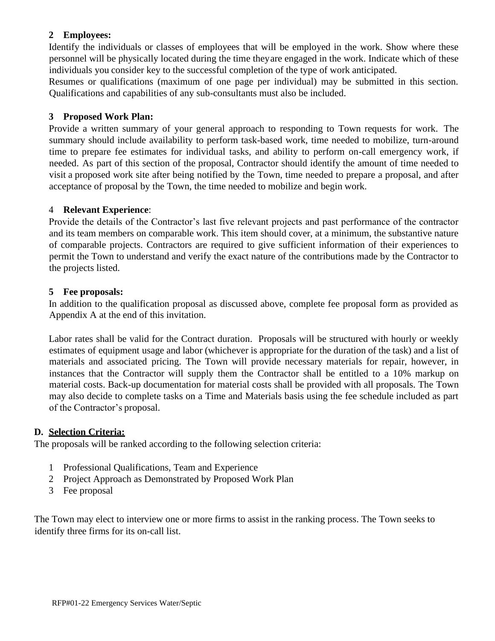### **2 Employees:**

Identify the individuals or classes of employees that will be employed in the work. Show where these personnel will be physically located during the time theyare engaged in the work. Indicate which of these individuals you consider key to the successful completion of the type of work anticipated.

Resumes or qualifications (maximum of one page per individual) may be submitted in this section. Qualifications and capabilities of any sub-consultants must also be included.

#### **3 Proposed Work Plan:**

Provide a written summary of your general approach to responding to Town requests for work. The summary should include availability to perform task-based work, time needed to mobilize, turn-around time to prepare fee estimates for individual tasks, and ability to perform on-call emergency work, if needed. As part of this section of the proposal, Contractor should identify the amount of time needed to visit a proposed work site after being notified by the Town, time needed to prepare a proposal, and after acceptance of proposal by the Town, the time needed to mobilize and begin work.

### 4 **Relevant Experience**:

Provide the details of the Contractor's last five relevant projects and past performance of the contractor and its team members on comparable work. This item should cover, at a minimum, the substantive nature of comparable projects. Contractors are required to give sufficient information of their experiences to permit the Town to understand and verify the exact nature of the contributions made by the Contractor to the projects listed.

### **5 Fee proposals:**

In addition to the qualification proposal as discussed above, complete fee proposal form as provided as Appendix A at the end of this invitation.

Labor rates shall be valid for the Contract duration. Proposals will be structured with hourly or weekly estimates of equipment usage and labor (whichever is appropriate for the duration of the task) and a list of materials and associated pricing. The Town will provide necessary materials for repair, however, in instances that the Contractor will supply them the Contractor shall be entitled to a 10% markup on material costs. Back-up documentation for material costs shall be provided with all proposals. The Town may also decide to complete tasks on a Time and Materials basis using the fee schedule included as part of the Contractor's proposal.

### **D. Selection Criteria:**

The proposals will be ranked according to the following selection criteria:

- 1 Professional Qualifications, Team and Experience
- 2 Project Approach as Demonstrated by Proposed Work Plan
- 3 Fee proposal

The Town may elect to interview one or more firms to assist in the ranking process. The Town seeks to identify three firms for its on-call list.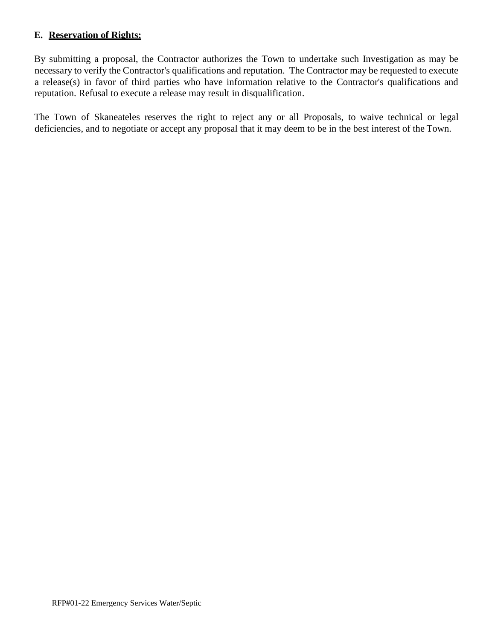### **E. Reservation of Rights:**

By submitting a proposal, the Contractor authorizes the Town to undertake such Investigation as may be necessary to verify the Contractor's qualifications and reputation. The Contractor may be requested to execute a release(s) in favor of third parties who have information relative to the Contractor's qualifications and reputation. Refusal to execute a release may result in disqualification.

The Town of Skaneateles reserves the right to reject any or all Proposals, to waive technical or legal deficiencies, and to negotiate or accept any proposal that it may deem to be in the best interest of the Town.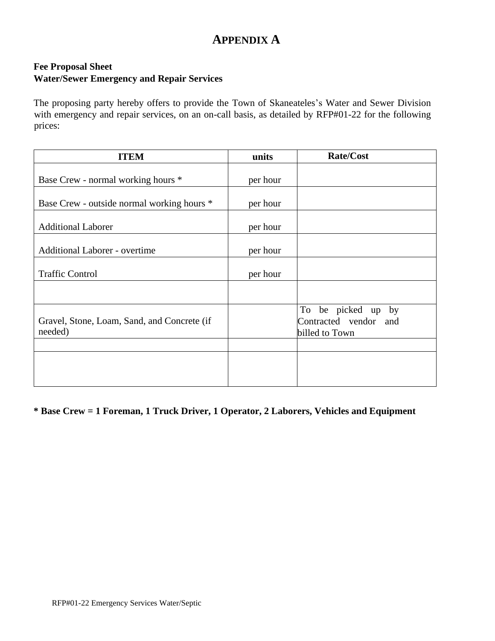# **APPENDIX A**

### **Fee Proposal Sheet Water/Sewer Emergency and Repair Services**

The proposing party hereby offers to provide the Town of Skaneateles's Water and Sewer Division with emergency and repair services, on an on-call basis, as detailed by RFP#01-22 for the following prices:

| <b>ITEM</b>                                            | units    | <b>Rate/Cost</b>                                              |
|--------------------------------------------------------|----------|---------------------------------------------------------------|
| Base Crew - normal working hours *                     | per hour |                                                               |
| Base Crew - outside normal working hours *             | per hour |                                                               |
| <b>Additional Laborer</b>                              | per hour |                                                               |
| <b>Additional Laborer - overtime</b>                   | per hour |                                                               |
| <b>Traffic Control</b>                                 | per hour |                                                               |
|                                                        |          |                                                               |
| Gravel, Stone, Loam, Sand, and Concrete (if<br>needed) |          | To be picked up by<br>Contracted vendor and<br>billed to Town |
|                                                        |          |                                                               |
|                                                        |          |                                                               |

**\* Base Crew = 1 Foreman, 1 Truck Driver, 1 Operator, 2 Laborers, Vehicles and Equipment**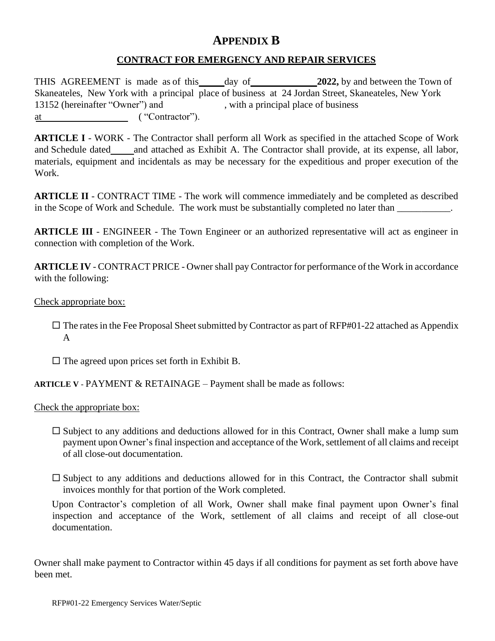## **APPENDIX B**

### **CONTRACT FOR EMERGENCY AND REPAIR SERVICES**

THIS AGREEMENT is made as of this day of 2022, by and between the Town of Skaneateles, New York with a principal place of business at 24 Jordan Street, Skaneateles, New York 13152 (hereinafter "Owner") and , with a principal place of business at ( "Contractor").

**ARTICLE I** - WORK - The Contractor shall perform all Work as specified in the attached Scope of Work and Schedule dated and attached as Exhibit A. The Contractor shall provide, at its expense, all labor, materials, equipment and incidentals as may be necessary for the expeditious and proper execution of the Work.

**ARTICLE II** - CONTRACT TIME - The work will commence immediately and be completed as described in the Scope of Work and Schedule. The work must be substantially completed no later than \_\_\_\_\_\_\_\_\_\_.

**ARTICLE III** - ENGINEER - The Town Engineer or an authorized representative will act as engineer in connection with completion of the Work.

**ARTICLE IV** - CONTRACT PRICE - Owner shall pay Contractor for performance of the Work in accordance with the following:

Check appropriate box:

 $\Box$  The rates in the Fee Proposal Sheet submitted by Contractor as part of RFP#01-22 attached as Appendix A

 $\Box$  The agreed upon prices set forth in Exhibit B.

**ARTICLE V** - PAYMENT & RETAINAGE – Payment shall be made as follows:

Check the appropriate box:

- $\square$  Subject to any additions and deductions allowed for in this Contract, Owner shall make a lump sum payment upon Owner's final inspection and acceptance of the Work, settlement of all claims and receipt of all close-out documentation.
- $\square$  Subject to any additions and deductions allowed for in this Contract, the Contractor shall submit invoices monthly for that portion of the Work completed.

Upon Contractor's completion of all Work, Owner shall make final payment upon Owner's final inspection and acceptance of the Work, settlement of all claims and receipt of all close-out documentation.

Owner shall make payment to Contractor within 45 days if all conditions for payment as set forth above have been met.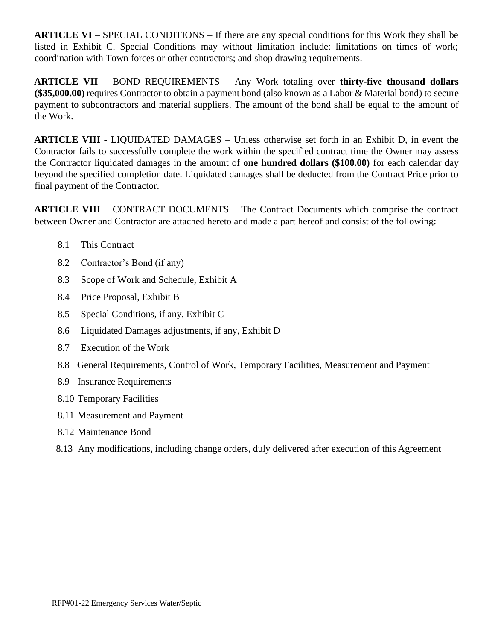**ARTICLE VI** – SPECIAL CONDITIONS – If there are any special conditions for this Work they shall be listed in Exhibit C. Special Conditions may without limitation include: limitations on times of work; coordination with Town forces or other contractors; and shop drawing requirements.

**ARTICLE VII** – BOND REQUIREMENTS – Any Work totaling over **thirty-five thousand dollars (\$35,000.00)** requires Contractor to obtain a payment bond (also known as a Labor & Material bond) to secure payment to subcontractors and material suppliers. The amount of the bond shall be equal to the amount of the Work.

**ARTICLE VIII** - LIQUIDATED DAMAGES – Unless otherwise set forth in an Exhibit D, in event the Contractor fails to successfully complete the work within the specified contract time the Owner may assess the Contractor liquidated damages in the amount of **one hundred dollars (\$100.00)** for each calendar day beyond the specified completion date. Liquidated damages shall be deducted from the Contract Price prior to final payment of the Contractor.

**ARTICLE VIII** – CONTRACT DOCUMENTS – The Contract Documents which comprise the contract between Owner and Contractor are attached hereto and made a part hereof and consist of the following:

- 8.1 This Contract
- 8.2 Contractor's Bond (if any)
- 8.3 Scope of Work and Schedule, Exhibit A
- 8.4 Price Proposal, Exhibit B
- 8.5 Special Conditions, if any, Exhibit C
- 8.6 Liquidated Damages adjustments, if any, Exhibit D
- 8.7 Execution of the Work
- 8.8 General Requirements, Control of Work, Temporary Facilities, Measurement and Payment
- 8.9 Insurance Requirements
- 8.10 Temporary Facilities
- 8.11 Measurement and Payment
- 8.12 Maintenance Bond
- 8.13 Any modifications, including change orders, duly delivered after execution of this Agreement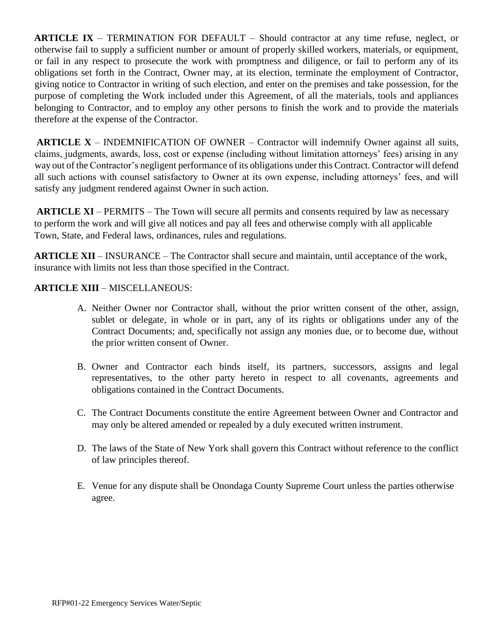**ARTICLE IX** – TERMINATION FOR DEFAULT – Should contractor at any time refuse, neglect, or otherwise fail to supply a sufficient number or amount of properly skilled workers, materials, or equipment, or fail in any respect to prosecute the work with promptness and diligence, or fail to perform any of its obligations set forth in the Contract, Owner may, at its election, terminate the employment of Contractor, giving notice to Contractor in writing of such election, and enter on the premises and take possession, for the purpose of completing the Work included under this Agreement, of all the materials, tools and appliances belonging to Contractor, and to employ any other persons to finish the work and to provide the materials therefore at the expense of the Contractor.

**ARTICLE X** – INDEMNIFICATION OF OWNER – Contractor will indemnify Owner against all suits, claims, judgments, awards, loss, cost or expense (including without limitation attorneys' fees) arising in any way out of the Contractor's negligent performance of its obligations under this Contract. Contractor will defend all such actions with counsel satisfactory to Owner at its own expense, including attorneys' fees, and will satisfy any judgment rendered against Owner in such action.

**ARTICLE XI** – PERMITS – The Town will secure all permits and consents required by law as necessary to perform the work and will give all notices and pay all fees and otherwise comply with all applicable Town, State, and Federal laws, ordinances, rules and regulations.

**ARTICLE XII** – INSURANCE – The Contractor shall secure and maintain, until acceptance of the work, insurance with limits not less than those specified in the Contract.

### **ARTICLE XIII** – MISCELLANEOUS:

- A. Neither Owner nor Contractor shall, without the prior written consent of the other, assign, sublet or delegate, in whole or in part, any of its rights or obligations under any of the Contract Documents; and, specifically not assign any monies due, or to become due, without the prior written consent of Owner.
- B. Owner and Contractor each binds itself, its partners, successors, assigns and legal representatives, to the other party hereto in respect to all covenants, agreements and obligations contained in the Contract Documents.
- C. The Contract Documents constitute the entire Agreement between Owner and Contractor and may only be altered amended or repealed by a duly executed written instrument.
- D. The laws of the State of New York shall govern this Contract without reference to the conflict of law principles thereof.
- E. Venue for any dispute shall be Onondaga County Supreme Court unless the parties otherwise agree.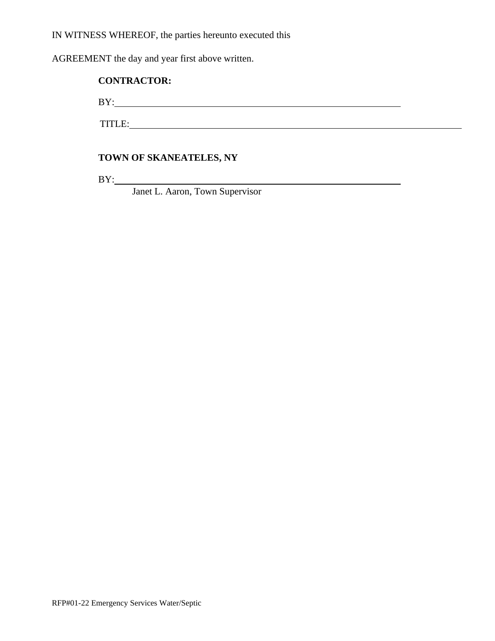IN WITNESS WHEREOF, the parties hereunto executed this

AGREEMENT the day and year first above written.

### **CONTRACTOR:**

BY: <u>supplementary and the set of the set of the set of the set of the set of the set of the set of the set of the set of the set of the set of the set of the set of the set of the set of the set of the set of the set of t</u>

TITLE:

### **TOWN OF SKANEATELES, NY**

BY:

Janet L. Aaron, Town Supervisor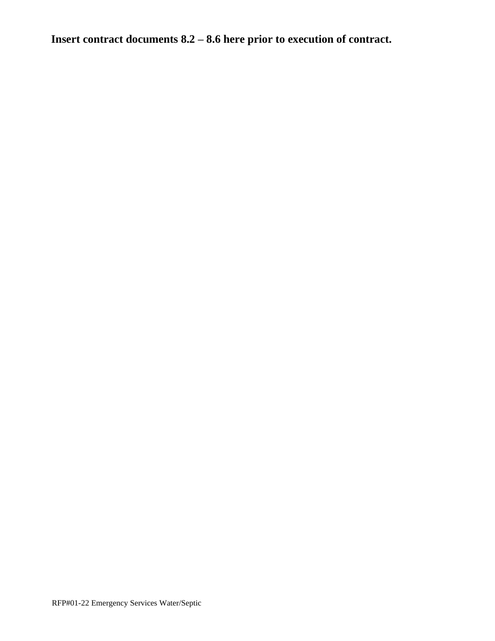**Insert contract documents 8.2 – 8.6 here prior to execution of contract.**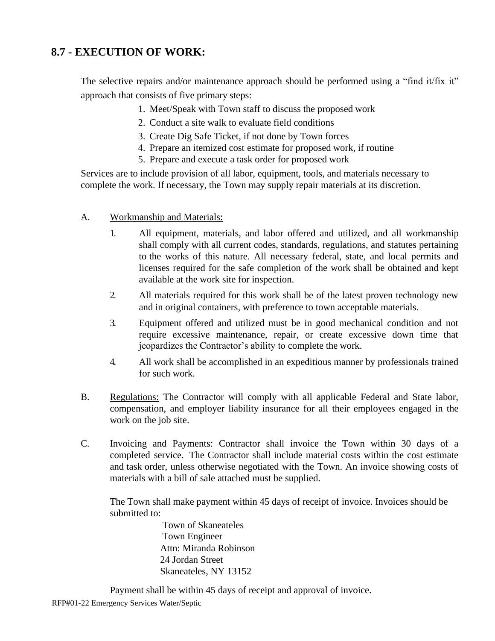## **8.7 - EXECUTION OF WORK:**

The selective repairs and/or maintenance approach should be performed using a "find it/fix it" approach that consists of five primary steps:

- 1. Meet/Speak with Town staff to discuss the proposed work
- 2. Conduct a site walk to evaluate field conditions
- 3. Create Dig Safe Ticket, if not done by Town forces
- 4. Prepare an itemized cost estimate for proposed work, if routine
- 5. Prepare and execute a task order for proposed work

Services are to include provision of all labor, equipment, tools, and materials necessary to complete the work. If necessary, the Town may supply repair materials at its discretion.

- A. Workmanship and Materials:
	- 1. All equipment, materials, and labor offered and utilized, and all workmanship shall comply with all current codes, standards, regulations, and statutes pertaining to the works of this nature. All necessary federal, state, and local permits and licenses required for the safe completion of the work shall be obtained and kept available at the work site for inspection.
	- 2. All materials required for this work shall be of the latest proven technology new and in original containers, with preference to town acceptable materials.
	- 3. Equipment offered and utilized must be in good mechanical condition and not require excessive maintenance, repair, or create excessive down time that jeopardizes the Contractor's ability to complete the work.
	- 4. All work shall be accomplished in an expeditious manner by professionals trained for such work.
- B. Regulations: The Contractor will comply with all applicable Federal and State labor, compensation, and employer liability insurance for all their employees engaged in the work on the job site.
- C. Invoicing and Payments: Contractor shall invoice the Town within 30 days of a completed service. The Contractor shall include material costs within the cost estimate and task order, unless otherwise negotiated with the Town. An invoice showing costs of materials with a bill of sale attached must be supplied.

The Town shall make payment within 45 days of receipt of invoice. Invoices should be submitted to:

> Town of Skaneateles Town Engineer Attn: Miranda Robinson 24 Jordan Street Skaneateles, NY 13152

Payment shall be within 45 days of receipt and approval of invoice.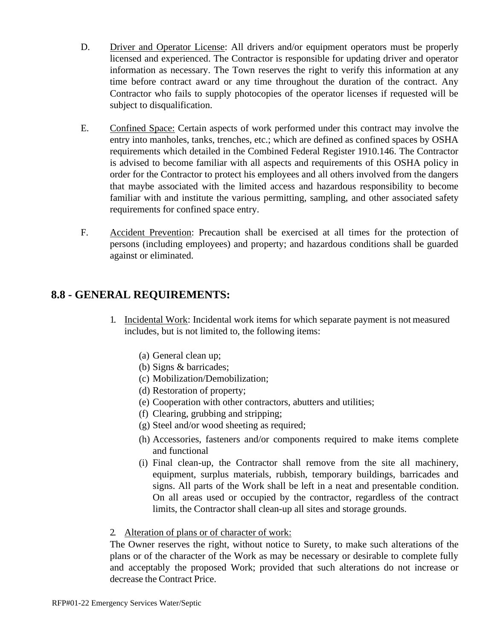- D. Driver and Operator License: All drivers and/or equipment operators must be properly licensed and experienced. The Contractor is responsible for updating driver and operator information as necessary. The Town reserves the right to verify this information at any time before contract award or any time throughout the duration of the contract. Any Contractor who fails to supply photocopies of the operator licenses if requested will be subject to disqualification.
- E. Confined Space: Certain aspects of work performed under this contract may involve the entry into manholes, tanks, trenches, etc.; which are defined as confined spaces by OSHA requirements which detailed in the Combined Federal Register 1910.146. The Contractor is advised to become familiar with all aspects and requirements of this OSHA policy in order for the Contractor to protect his employees and all others involved from the dangers that maybe associated with the limited access and hazardous responsibility to become familiar with and institute the various permitting, sampling, and other associated safety requirements for confined space entry.
- F. Accident Prevention: Precaution shall be exercised at all times for the protection of persons (including employees) and property; and hazardous conditions shall be guarded against or eliminated.

## **8.8 - GENERAL REQUIREMENTS:**

- 1. Incidental Work: Incidental work items for which separate payment is not measured includes, but is not limited to, the following items:
	- (a) General clean up;
	- (b) Signs & barricades;
	- (c) Mobilization/Demobilization;
	- (d) Restoration of property;
	- (e) Cooperation with other contractors, abutters and utilities;
	- (f) Clearing, grubbing and stripping;
	- (g) Steel and/or wood sheeting as required;
	- (h) Accessories, fasteners and/or components required to make items complete and functional
	- (i) Final clean-up, the Contractor shall remove from the site all machinery, equipment, surplus materials, rubbish, temporary buildings, barricades and signs. All parts of the Work shall be left in a neat and presentable condition. On all areas used or occupied by the contractor, regardless of the contract limits, the Contractor shall clean-up all sites and storage grounds.

2. Alteration of plans or of character of work:

The Owner reserves the right, without notice to Surety, to make such alterations of the plans or of the character of the Work as may be necessary or desirable to complete fully and acceptably the proposed Work; provided that such alterations do not increase or decrease the Contract Price.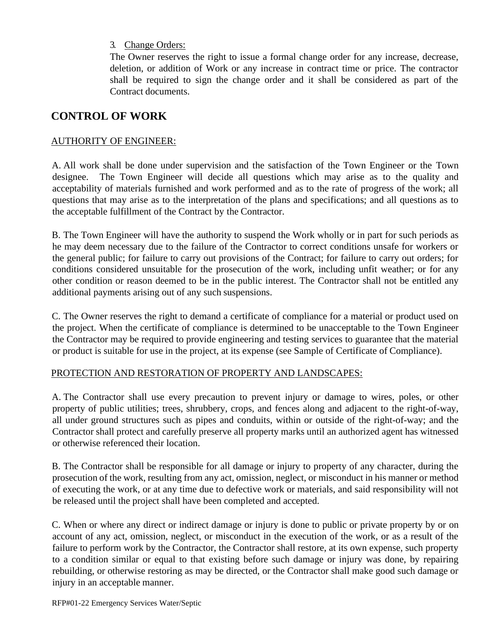### 3. Change Orders:

The Owner reserves the right to issue a formal change order for any increase, decrease, deletion, or addition of Work or any increase in contract time or price. The contractor shall be required to sign the change order and it shall be considered as part of the Contract documents.

## **CONTROL OF WORK**

### AUTHORITY OF ENGINEER:

A. All work shall be done under supervision and the satisfaction of the Town Engineer or the Town designee. The Town Engineer will decide all questions which may arise as to the quality and acceptability of materials furnished and work performed and as to the rate of progress of the work; all questions that may arise as to the interpretation of the plans and specifications; and all questions as to the acceptable fulfillment of the Contract by the Contractor.

B. The Town Engineer will have the authority to suspend the Work wholly or in part for such periods as he may deem necessary due to the failure of the Contractor to correct conditions unsafe for workers or the general public; for failure to carry out provisions of the Contract; for failure to carry out orders; for conditions considered unsuitable for the prosecution of the work, including unfit weather; or for any other condition or reason deemed to be in the public interest. The Contractor shall not be entitled any additional payments arising out of any such suspensions.

C. The Owner reserves the right to demand a certificate of compliance for a material or product used on the project. When the certificate of compliance is determined to be unacceptable to the Town Engineer the Contractor may be required to provide engineering and testing services to guarantee that the material or product is suitable for use in the project, at its expense (see Sample of Certificate of Compliance).

### PROTECTION AND RESTORATION OF PROPERTY AND LANDSCAPES:

A. The Contractor shall use every precaution to prevent injury or damage to wires, poles, or other property of public utilities; trees, shrubbery, crops, and fences along and adjacent to the right-of-way, all under ground structures such as pipes and conduits, within or outside of the right-of-way; and the Contractor shall protect and carefully preserve all property marks until an authorized agent has witnessed or otherwise referenced their location.

B. The Contractor shall be responsible for all damage or injury to property of any character, during the prosecution of the work, resulting from any act, omission, neglect, or misconduct in his manner or method of executing the work, or at any time due to defective work or materials, and said responsibility will not be released until the project shall have been completed and accepted.

C. When or where any direct or indirect damage or injury is done to public or private property by or on account of any act, omission, neglect, or misconduct in the execution of the work, or as a result of the failure to perform work by the Contractor, the Contractor shall restore, at its own expense, such property to a condition similar or equal to that existing before such damage or injury was done, by repairing rebuilding, or otherwise restoring as may be directed, or the Contractor shall make good such damage or injury in an acceptable manner.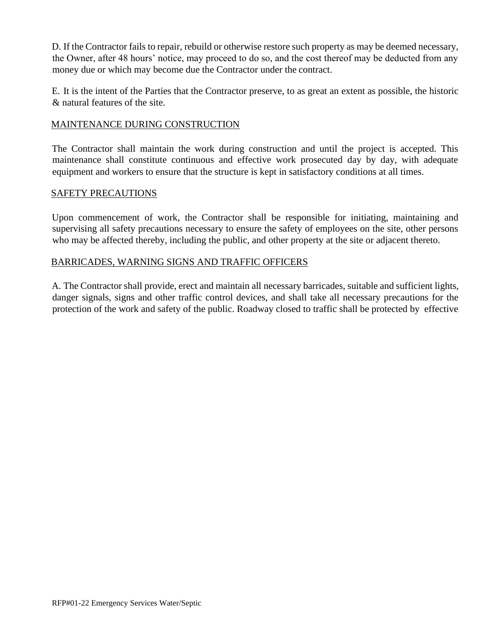D. If the Contractor fails to repair, rebuild or otherwise restore such property as may be deemed necessary, the Owner, after 48 hours' notice, may proceed to do so, and the cost thereof may be deducted from any money due or which may become due the Contractor under the contract.

E. It is the intent of the Parties that the Contractor preserve, to as great an extent as possible, the historic & natural features of the site.

### MAINTENANCE DURING CONSTRUCTION

The Contractor shall maintain the work during construction and until the project is accepted. This maintenance shall constitute continuous and effective work prosecuted day by day, with adequate equipment and workers to ensure that the structure is kept in satisfactory conditions at all times.

### SAFETY PRECAUTIONS

Upon commencement of work, the Contractor shall be responsible for initiating, maintaining and supervising all safety precautions necessary to ensure the safety of employees on the site, other persons who may be affected thereby, including the public, and other property at the site or adjacent thereto.

### BARRICADES, WARNING SIGNS AND TRAFFIC OFFICERS

A. The Contractor shall provide, erect and maintain all necessary barricades, suitable and sufficient lights, danger signals, signs and other traffic control devices, and shall take all necessary precautions for the protection of the work and safety of the public. Roadway closed to traffic shall be protected by effective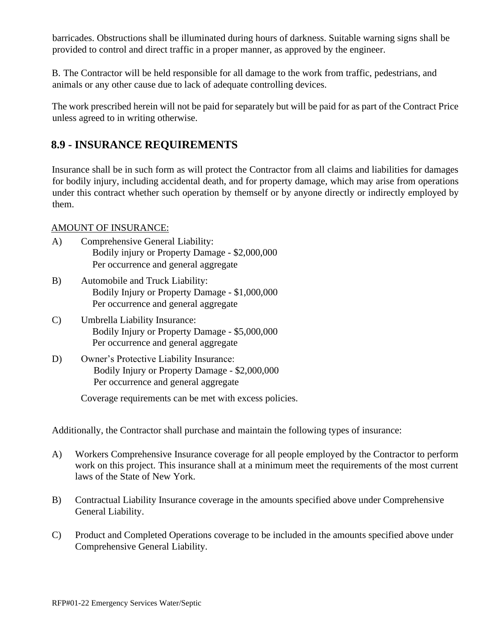barricades. Obstructions shall be illuminated during hours of darkness. Suitable warning signs shall be provided to control and direct traffic in a proper manner, as approved by the engineer.

B. The Contractor will be held responsible for all damage to the work from traffic, pedestrians, and animals or any other cause due to lack of adequate controlling devices.

The work prescribed herein will not be paid for separately but will be paid for as part of the Contract Price unless agreed to in writing otherwise.

## **8.9 - INSURANCE REQUIREMENTS**

Insurance shall be in such form as will protect the Contractor from all claims and liabilities for damages for bodily injury, including accidental death, and for property damage, which may arise from operations under this contract whether such operation by themself or by anyone directly or indirectly employed by them.

### AMOUNT OF INSURANCE:

- A) Comprehensive General Liability: Bodily injury or Property Damage - \$2,000,000 Per occurrence and general aggregate
- B) Automobile and Truck Liability: Bodily Injury or Property Damage - \$1,000,000 Per occurrence and general aggregate
- C) Umbrella Liability Insurance: Bodily Injury or Property Damage - \$5,000,000 Per occurrence and general aggregate
- D) Owner's Protective Liability Insurance: Bodily Injury or Property Damage - \$2,000,000 Per occurrence and general aggregate

Coverage requirements can be met with excess policies.

Additionally, the Contractor shall purchase and maintain the following types of insurance:

- A) Workers Comprehensive Insurance coverage for all people employed by the Contractor to perform work on this project. This insurance shall at a minimum meet the requirements of the most current laws of the State of New York.
- B) Contractual Liability Insurance coverage in the amounts specified above under Comprehensive General Liability.
- C) Product and Completed Operations coverage to be included in the amounts specified above under Comprehensive General Liability.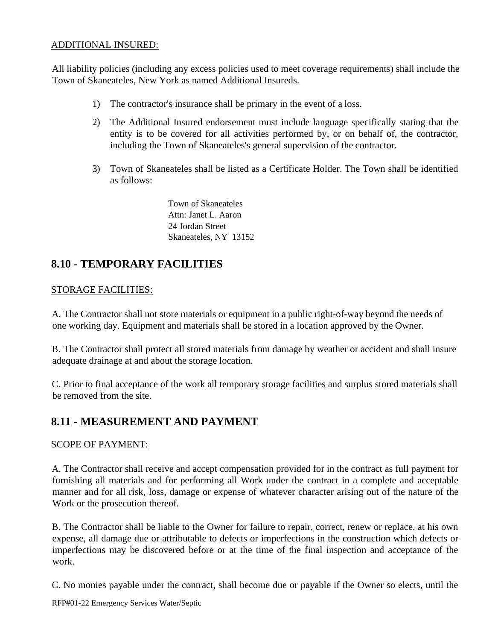### ADDITIONAL INSURED:

All liability policies (including any excess policies used to meet coverage requirements) shall include the Town of Skaneateles, New York as named Additional Insureds.

- 1) The contractor's insurance shall be primary in the event of a loss.
- 2) The Additional Insured endorsement must include language specifically stating that the entity is to be covered for all activities performed by, or on behalf of, the contractor, including the Town of Skaneateles's general supervision of the contractor.
- 3) Town of Skaneateles shall be listed as a Certificate Holder. The Town shall be identified as follows:

Town of Skaneateles Attn: Janet L. Aaron 24 Jordan Street Skaneateles, NY 13152

# **8.10 - TEMPORARY FACILITIES**

### STORAGE FACILITIES:

A. The Contractor shall not store materials or equipment in a public right-of-way beyond the needs of one working day. Equipment and materials shall be stored in a location approved by the Owner.

B. The Contractor shall protect all stored materials from damage by weather or accident and shall insure adequate drainage at and about the storage location.

C. Prior to final acceptance of the work all temporary storage facilities and surplus stored materials shall be removed from the site.

## **8.11 - MEASUREMENT AND PAYMENT**

### SCOPE OF PAYMENT:

A. The Contractor shall receive and accept compensation provided for in the contract as full payment for furnishing all materials and for performing all Work under the contract in a complete and acceptable manner and for all risk, loss, damage or expense of whatever character arising out of the nature of the Work or the prosecution thereof.

B. The Contractor shall be liable to the Owner for failure to repair, correct, renew or replace, at his own expense, all damage due or attributable to defects or imperfections in the construction which defects or imperfections may be discovered before or at the time of the final inspection and acceptance of the work.

C. No monies payable under the contract, shall become due or payable if the Owner so elects, until the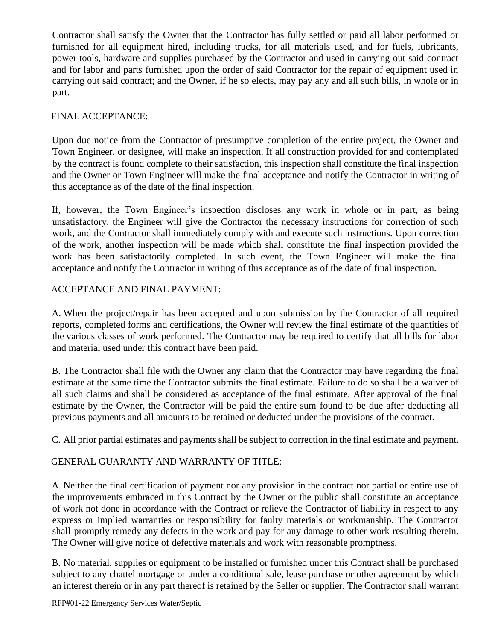Contractor shall satisfy the Owner that the Contractor has fully settled or paid all labor performed or furnished for all equipment hired, including trucks, for all materials used, and for fuels, lubricants, power tools, hardware and supplies purchased by the Contractor and used in carrying out said contract and for labor and parts furnished upon the order of said Contractor for the repair of equipment used in carrying out said contract; and the Owner, if he so elects, may pay any and all such bills, in whole or in part.

### FINAL ACCEPTANCE:

Upon due notice from the Contractor of presumptive completion of the entire project, the Owner and Town Engineer, or designee, will make an inspection. If all construction provided for and contemplated by the contract is found complete to their satisfaction, this inspection shall constitute the final inspection and the Owner or Town Engineer will make the final acceptance and notify the Contractor in writing of this acceptance as of the date of the final inspection.

If, however, the Town Engineer's inspection discloses any work in whole or in part, as being unsatisfactory, the Engineer will give the Contractor the necessary instructions for correction of such work, and the Contractor shall immediately comply with and execute such instructions. Upon correction of the work, another inspection will be made which shall constitute the final inspection provided the work has been satisfactorily completed. In such event, the Town Engineer will make the final acceptance and notify the Contractor in writing of this acceptance as of the date of final inspection.

### ACCEPTANCE AND FINAL PAYMENT:

A. When the project/repair has been accepted and upon submission by the Contractor of all required reports, completed forms and certifications, the Owner will review the final estimate of the quantities of the various classes of work performed. The Contractor may be required to certify that all bills for labor and material used under this contract have been paid.

B. The Contractor shall file with the Owner any claim that the Contractor may have regarding the final estimate at the same time the Contractor submits the final estimate. Failure to do so shall be a waiver of all such claims and shall be considered as acceptance of the final estimate. After approval of the final estimate by the Owner, the Contractor will be paid the entire sum found to be due after deducting all previous payments and all amounts to be retained or deducted under the provisions of the contract.

C. All prior partial estimates and payments shall be subject to correction in the final estimate and payment.

### GENERAL GUARANTY AND WARRANTY OF TITLE:

A. Neither the final certification of payment nor any provision in the contract nor partial or entire use of the improvements embraced in this Contract by the Owner or the public shall constitute an acceptance of work not done in accordance with the Contract or relieve the Contractor of liability in respect to any express or implied warranties or responsibility for faulty materials or workmanship. The Contractor shall promptly remedy any defects in the work and pay for any damage to other work resulting therein. The Owner will give notice of defective materials and work with reasonable promptness.

B. No material, supplies or equipment to be installed or furnished under this Contract shall be purchased subject to any chattel mortgage or under a conditional sale, lease purchase or other agreement by which an interest therein or in any part thereof is retained by the Seller or supplier. The Contractor shall warrant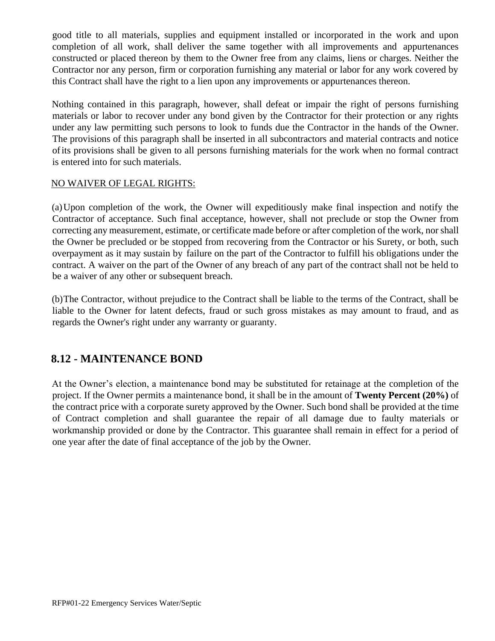good title to all materials, supplies and equipment installed or incorporated in the work and upon completion of all work, shall deliver the same together with all improvements and appurtenances constructed or placed thereon by them to the Owner free from any claims, liens or charges. Neither the Contractor nor any person, firm or corporation furnishing any material or labor for any work covered by this Contract shall have the right to a lien upon any improvements or appurtenances thereon.

Nothing contained in this paragraph, however, shall defeat or impair the right of persons furnishing materials or labor to recover under any bond given by the Contractor for their protection or any rights under any law permitting such persons to look to funds due the Contractor in the hands of the Owner. The provisions of this paragraph shall be inserted in all subcontractors and material contracts and notice ofits provisions shall be given to all persons furnishing materials for the work when no formal contract is entered into for such materials.

### NO WAIVER OF LEGAL RIGHTS:

(a)Upon completion of the work, the Owner will expeditiously make final inspection and notify the Contractor of acceptance. Such final acceptance, however, shall not preclude or stop the Owner from correcting any measurement, estimate, or certificate made before or after completion of the work, nor shall the Owner be precluded or be stopped from recovering from the Contractor or his Surety, or both, such overpayment as it may sustain by failure on the part of the Contractor to fulfill his obligations under the contract. A waiver on the part of the Owner of any breach of any part of the contract shall not be held to be a waiver of any other or subsequent breach.

(b)The Contractor, without prejudice to the Contract shall be liable to the terms of the Contract, shall be liable to the Owner for latent defects, fraud or such gross mistakes as may amount to fraud, and as regards the Owner's right under any warranty or guaranty.

## **8.12 - MAINTENANCE BOND**

At the Owner's election, a maintenance bond may be substituted for retainage at the completion of the project. If the Owner permits a maintenance bond, it shall be in the amount of **Twenty Percent (20%)** of the contract price with a corporate surety approved by the Owner. Such bond shall be provided at the time of Contract completion and shall guarantee the repair of all damage due to faulty materials or workmanship provided or done by the Contractor. This guarantee shall remain in effect for a period of one year after the date of final acceptance of the job by the Owner.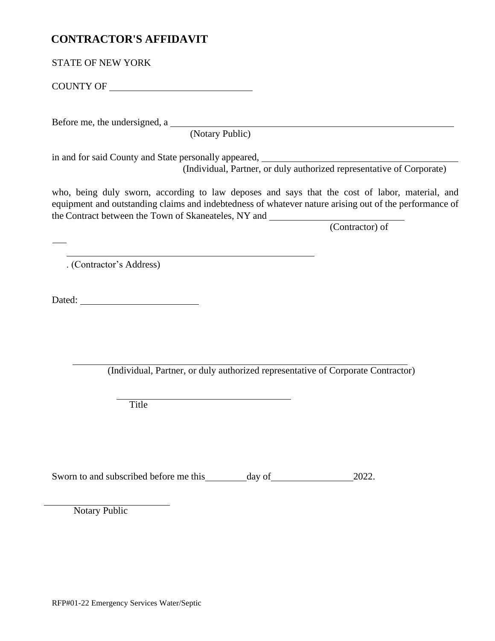## **CONTRACTOR'S AFFIDAVIT**

COUNTY OF

Before me, the undersigned, a

(Notary Public)

in and for said County and State personally appeared, (Individual, Partner, or duly authorized representative of Corporate)

who, being duly sworn, according to law deposes and says that the cost of labor, material, and equipment and outstanding claims and indebtedness of whatever nature arising out of the performance of the Contract between the Town of Skaneateles, NY and

(Contractor) of

. (Contractor's Address)

Dated:

(Individual, Partner, or duly authorized representative of Corporate Contractor)

Title

Sworn to and subscribed before me this day of 2022.

Notary Public